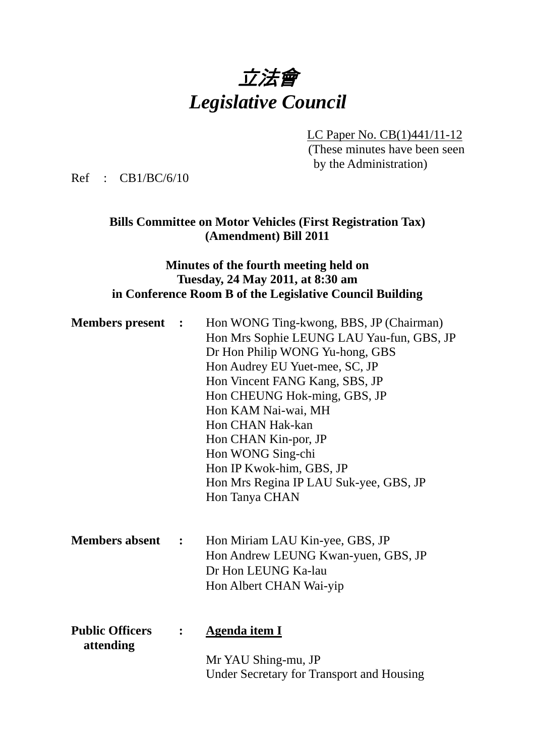

LC Paper No. CB(1)441/11-12 (These minutes have been seen by the Administration)

Ref : CB1/BC/6/10

## **Bills Committee on Motor Vehicles (First Registration Tax) (Amendment) Bill 2011**

## **Minutes of the fourth meeting held on Tuesday, 24 May 2011, at 8:30 am in Conference Room B of the Legislative Council Building**

| <b>Members</b> present              | $\ddot{\phantom{1}}$ | Hon WONG Ting-kwong, BBS, JP (Chairman)<br>Hon Mrs Sophie LEUNG LAU Yau-fun, GBS, JP<br>Dr Hon Philip WONG Yu-hong, GBS<br>Hon Audrey EU Yuet-mee, SC, JP<br>Hon Vincent FANG Kang, SBS, JP<br>Hon CHEUNG Hok-ming, GBS, JP<br>Hon KAM Nai-wai, MH<br>Hon CHAN Hak-kan<br>Hon CHAN Kin-por, JP<br>Hon WONG Sing-chi<br>Hon IP Kwok-him, GBS, JP<br>Hon Mrs Regina IP LAU Suk-yee, GBS, JP<br>Hon Tanya CHAN |
|-------------------------------------|----------------------|-------------------------------------------------------------------------------------------------------------------------------------------------------------------------------------------------------------------------------------------------------------------------------------------------------------------------------------------------------------------------------------------------------------|
| <b>Members absent</b>               | $\ddot{\phantom{a}}$ | Hon Miriam LAU Kin-yee, GBS, JP<br>Hon Andrew LEUNG Kwan-yuen, GBS, JP<br>Dr Hon LEUNG Ka-lau<br>Hon Albert CHAN Wai-yip                                                                                                                                                                                                                                                                                    |
| <b>Public Officers</b><br>attending | $\ddot{\cdot}$       | <b>Agenda item I</b><br>Mr YAU Shing-mu, JP<br>Under Secretary for Transport and Housing                                                                                                                                                                                                                                                                                                                    |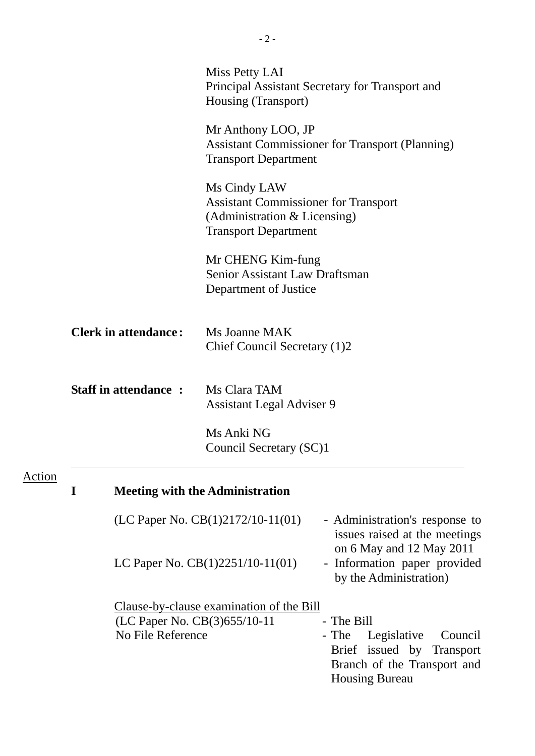|        |   |                                                   | Miss Petty LAI<br>Principal Assistant Secretary for Transport and<br>Housing (Transport)                                                                     |
|--------|---|---------------------------------------------------|--------------------------------------------------------------------------------------------------------------------------------------------------------------|
|        |   |                                                   | Mr Anthony LOO, JP<br><b>Assistant Commissioner for Transport (Planning)</b><br><b>Transport Department</b>                                                  |
|        |   |                                                   | Ms Cindy LAW<br><b>Assistant Commissioner for Transport</b><br>(Administration & Licensing)<br><b>Transport Department</b>                                   |
|        |   |                                                   | Mr CHENG Kim-fung<br><b>Senior Assistant Law Draftsman</b><br>Department of Justice                                                                          |
|        |   | <b>Clerk in attendance:</b>                       | Ms Joanne MAK<br>Chief Council Secretary (1)2                                                                                                                |
|        |   | <b>Staff in attendance:</b>                       | Ms Clara TAM<br><b>Assistant Legal Adviser 9</b>                                                                                                             |
|        |   |                                                   | Ms Anki NG<br>Council Secretary (SC)1                                                                                                                        |
| Action | I |                                                   | <b>Meeting with the Administration</b>                                                                                                                       |
|        |   |                                                   | (LC Paper No. $CB(1)2172/10-11(01)$ )<br>- Administration's response to<br>issues raised at the meetings                                                     |
|        |   |                                                   | on 6 May and 12 May 2011<br>- Information paper provided<br>LC Paper No. $CB(1)2251/10-11(01)$<br>by the Administration)                                     |
|        |   | (LC Paper No. CB(3)655/10-11<br>No File Reference | <u>Clause-by-clause examination of the Bill</u><br>- The Bill<br>- The<br>Legislative<br>Council<br>Brief issued by Transport<br>Branch of the Transport and |

Housing Bureau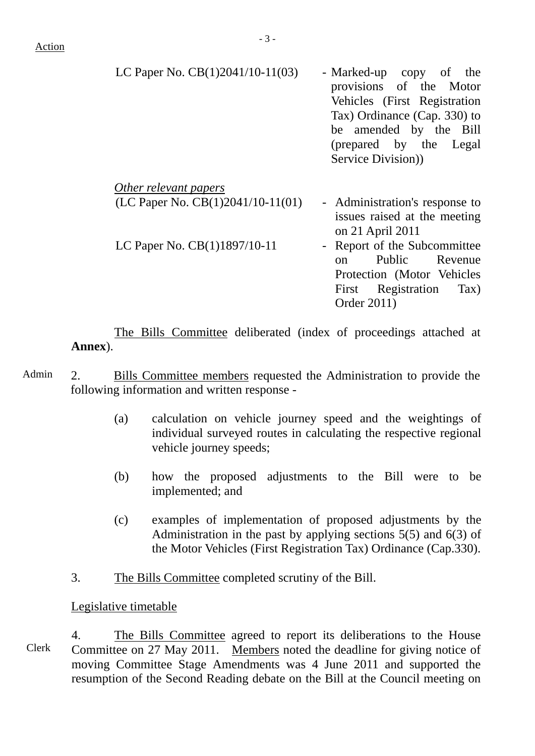| LC Paper No. $CB(1)2041/10-11(03)$                             | - Marked-up copy of the<br>provisions of the Motor<br>Vehicles (First Registration<br>Tax) Ordinance (Cap. 330) to<br>be amended by the Bill<br>(prepared by the Legal<br>Service Division) |
|----------------------------------------------------------------|---------------------------------------------------------------------------------------------------------------------------------------------------------------------------------------------|
| Other relevant papers<br>(LC Paper No. $CB(1)2041/10-11(01)$ ) | - Administration's response to<br>issues raised at the meeting<br>on 21 April 2011                                                                                                          |

LC Paper No. CB(1)1897/10-11 - Report of the Subcommittee on Public Revenue Protection (Motor Vehicles First Registration Tax) Order 2011)

 The Bills Committee deliberated (index of proceedings attached at **Annex**).

- Admin 2. Bills Committee members requested the Administration to provide the following information and written response -
	- (a) calculation on vehicle journey speed and the weightings of individual surveyed routes in calculating the respective regional vehicle journey speeds;
	- (b) how the proposed adjustments to the Bill were to be implemented; and
	- (c) examples of implementation of proposed adjustments by the Administration in the past by applying sections 5(5) and 6(3) of the Motor Vehicles (First Registration Tax) Ordinance (Cap.330).
	- 3. The Bills Committee completed scrutiny of the Bill.

### Legislative timetable

Clerk 4. The Bills Committee agreed to report its deliberations to the House Committee on 27 May 2011. Members noted the deadline for giving notice of moving Committee Stage Amendments was 4 June 2011 and supported the resumption of the Second Reading debate on the Bill at the Council meeting on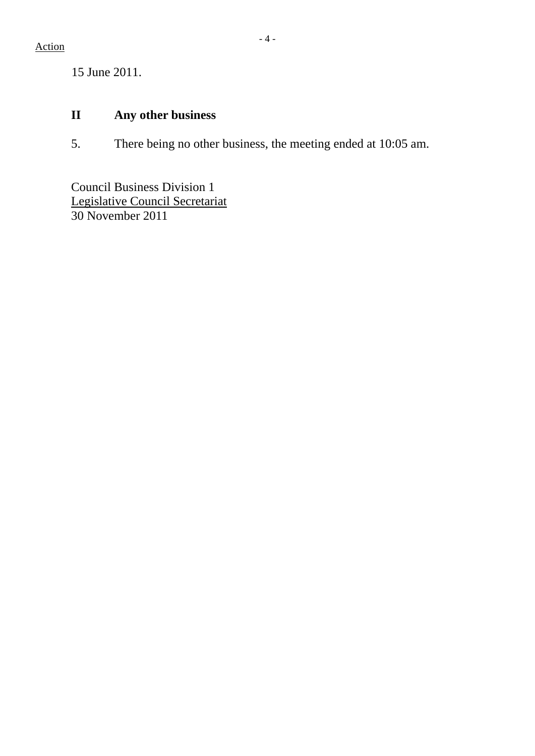15 June 2011.

# **II Any other business**

5. There being no other business, the meeting ended at 10:05 am.

Council Business Division 1 Legislative Council Secretariat 30 November 2011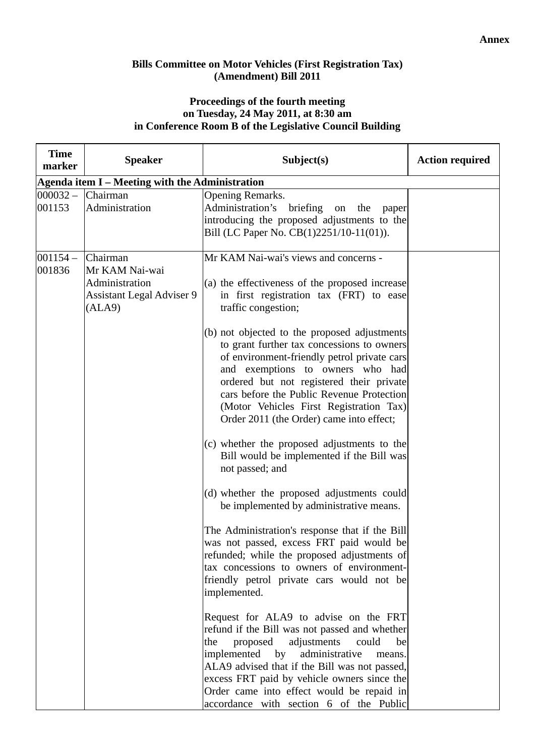### **Bills Committee on Motor Vehicles (First Registration Tax) (Amendment) Bill 2011**

### **Proceedings of the fourth meeting on Tuesday, 24 May 2011, at 8:30 am in Conference Room B of the Legislative Council Building**

| <b>Time</b><br>marker | <b>Speaker</b>                                                                             | Subject(s)                                                                                                                                                                                                                                                                                                                                                                                                                                                                                                                                                                                                                                                                                                                                                                                                                                                                                                                                                                                | <b>Action required</b> |
|-----------------------|--------------------------------------------------------------------------------------------|-------------------------------------------------------------------------------------------------------------------------------------------------------------------------------------------------------------------------------------------------------------------------------------------------------------------------------------------------------------------------------------------------------------------------------------------------------------------------------------------------------------------------------------------------------------------------------------------------------------------------------------------------------------------------------------------------------------------------------------------------------------------------------------------------------------------------------------------------------------------------------------------------------------------------------------------------------------------------------------------|------------------------|
|                       | Agenda item I - Meeting with the Administration                                            |                                                                                                                                                                                                                                                                                                                                                                                                                                                                                                                                                                                                                                                                                                                                                                                                                                                                                                                                                                                           |                        |
| $000032 -$<br>001153  | Chairman<br>Administration                                                                 | Opening Remarks.<br>Administration's<br>briefing<br>on<br>the<br>paper<br>introducing the proposed adjustments to the<br>Bill (LC Paper No. CB(1)2251/10-11(01)).                                                                                                                                                                                                                                                                                                                                                                                                                                                                                                                                                                                                                                                                                                                                                                                                                         |                        |
| $001154 -$<br>001836  | Chairman<br>Mr KAM Nai-wai<br>Administration<br><b>Assistant Legal Adviser 9</b><br>(ALA9) | Mr KAM Nai-wai's views and concerns -<br>(a) the effectiveness of the proposed increase<br>in first registration tax (FRT) to ease<br>traffic congestion;<br>(b) not objected to the proposed adjustments<br>to grant further tax concessions to owners<br>of environment-friendly petrol private cars<br>and exemptions to owners who had<br>ordered but not registered their private<br>cars before the Public Revenue Protection<br>(Motor Vehicles First Registration Tax)<br>Order 2011 (the Order) came into effect;<br>(c) whether the proposed adjustments to the<br>Bill would be implemented if the Bill was<br>not passed; and<br>(d) whether the proposed adjustments could<br>be implemented by administrative means.<br>The Administration's response that if the Bill<br>was not passed, excess FRT paid would be<br>refunded; while the proposed adjustments of<br>tax concessions to owners of environment-<br>friendly petrol private cars would not be<br>implemented. |                        |
|                       |                                                                                            | Request for ALA9 to advise on the FRT<br>refund if the Bill was not passed and whether<br>proposed<br>adjustments<br>the<br>could<br>be<br>implemented<br>administrative<br>by<br>means.<br>ALA9 advised that if the Bill was not passed,<br>excess FRT paid by vehicle owners since the<br>Order came into effect would be repaid in<br>accordance with section 6 of the Public                                                                                                                                                                                                                                                                                                                                                                                                                                                                                                                                                                                                          |                        |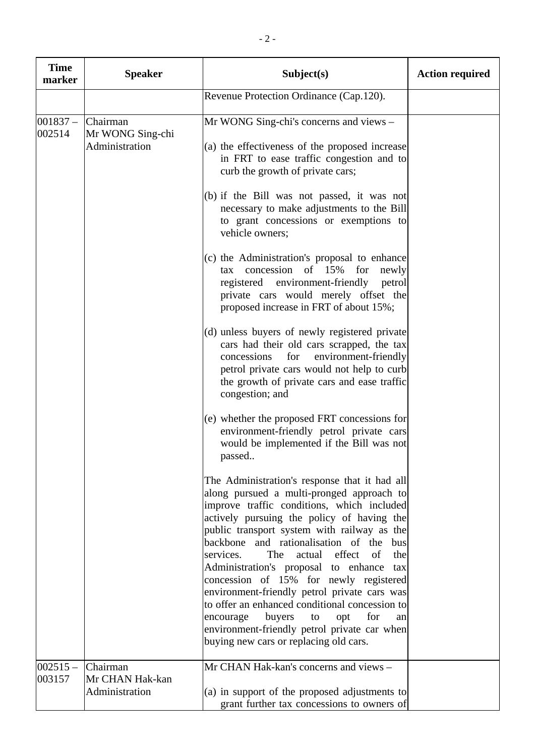| <b>Time</b><br>marker | <b>Speaker</b>                                 | Subject(s)                                                                                                                                                                                                                                                                                                                                                                                                                                                                                                                                                                                                                                                               | <b>Action required</b> |
|-----------------------|------------------------------------------------|--------------------------------------------------------------------------------------------------------------------------------------------------------------------------------------------------------------------------------------------------------------------------------------------------------------------------------------------------------------------------------------------------------------------------------------------------------------------------------------------------------------------------------------------------------------------------------------------------------------------------------------------------------------------------|------------------------|
|                       |                                                | Revenue Protection Ordinance (Cap.120).                                                                                                                                                                                                                                                                                                                                                                                                                                                                                                                                                                                                                                  |                        |
| $001837 -$<br>002514  | Chairman<br>Mr WONG Sing-chi<br>Administration | Mr WONG Sing-chi's concerns and views –<br>(a) the effectiveness of the proposed increase<br>in FRT to ease traffic congestion and to<br>curb the growth of private cars;                                                                                                                                                                                                                                                                                                                                                                                                                                                                                                |                        |
|                       |                                                | (b) if the Bill was not passed, it was not<br>necessary to make adjustments to the Bill<br>to grant concessions or exemptions to<br>vehicle owners;                                                                                                                                                                                                                                                                                                                                                                                                                                                                                                                      |                        |
|                       |                                                | (c) the Administration's proposal to enhance<br>concession of 15% for<br>newly<br>tax<br>registered environment-friendly<br>petrol<br>private cars would merely offset the<br>proposed increase in FRT of about 15%;                                                                                                                                                                                                                                                                                                                                                                                                                                                     |                        |
|                       |                                                | (d) unless buyers of newly registered private<br>cars had their old cars scrapped, the tax<br>for<br>environment-friendly<br>concessions<br>petrol private cars would not help to curb<br>the growth of private cars and ease traffic<br>congestion; and                                                                                                                                                                                                                                                                                                                                                                                                                 |                        |
|                       |                                                | (e) whether the proposed FRT concessions for<br>environment-friendly petrol private cars<br>would be implemented if the Bill was not<br>passed                                                                                                                                                                                                                                                                                                                                                                                                                                                                                                                           |                        |
|                       |                                                | The Administration's response that it had all<br>along pursued a multi-pronged approach to<br>improve traffic conditions, which included<br>actively pursuing the policy of having the<br>public transport system with railway as the<br>backbone and rationalisation of the<br>bus<br>services.<br>The<br>actual effect<br>of<br>the<br>Administration's proposal to enhance tax<br>concession of 15% for newly registered<br>environment-friendly petrol private cars was<br>to offer an enhanced conditional concession to<br>buyers<br>encourage<br>for<br>to<br>opt<br>an<br>environment-friendly petrol private car when<br>buying new cars or replacing old cars. |                        |
| $002515 -$<br>003157  | Chairman<br>Mr CHAN Hak-kan<br>Administration  | Mr CHAN Hak-kan's concerns and views -<br>(a) in support of the proposed adjustments to<br>grant further tax concessions to owners of                                                                                                                                                                                                                                                                                                                                                                                                                                                                                                                                    |                        |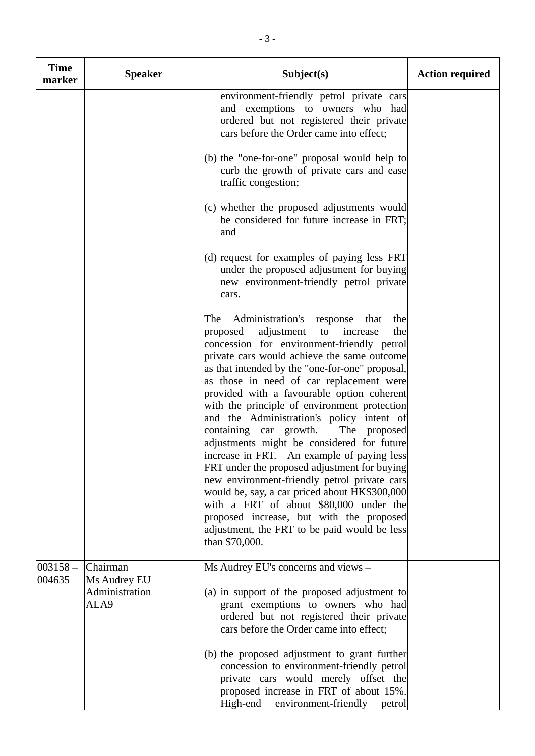| <b>Time</b><br>marker | <b>Speaker</b>                                     | Subject(s)                                                                                                                                                                                                                                                                                                                                                                                                                                                                                                                                                                                                                                                                                                                                                                                                                                                                            | <b>Action required</b> |
|-----------------------|----------------------------------------------------|---------------------------------------------------------------------------------------------------------------------------------------------------------------------------------------------------------------------------------------------------------------------------------------------------------------------------------------------------------------------------------------------------------------------------------------------------------------------------------------------------------------------------------------------------------------------------------------------------------------------------------------------------------------------------------------------------------------------------------------------------------------------------------------------------------------------------------------------------------------------------------------|------------------------|
|                       |                                                    | environment-friendly petrol private cars<br>and exemptions to owners who had<br>ordered but not registered their private<br>cars before the Order came into effect;                                                                                                                                                                                                                                                                                                                                                                                                                                                                                                                                                                                                                                                                                                                   |                        |
|                       |                                                    | (b) the "one-for-one" proposal would help to<br>curb the growth of private cars and ease<br>traffic congestion;                                                                                                                                                                                                                                                                                                                                                                                                                                                                                                                                                                                                                                                                                                                                                                       |                        |
|                       |                                                    | (c) whether the proposed adjustments would<br>be considered for future increase in FRT;<br>and                                                                                                                                                                                                                                                                                                                                                                                                                                                                                                                                                                                                                                                                                                                                                                                        |                        |
|                       |                                                    | (d) request for examples of paying less FRT<br>under the proposed adjustment for buying<br>new environment-friendly petrol private<br>cars.                                                                                                                                                                                                                                                                                                                                                                                                                                                                                                                                                                                                                                                                                                                                           |                        |
|                       |                                                    | Administration's response that<br>The<br>the<br>adjustment<br>proposed<br>increase<br>the<br>to<br>concession for environment-friendly petrol<br>private cars would achieve the same outcome<br>as that intended by the "one-for-one" proposal,<br>as those in need of car replacement were<br>provided with a favourable option coherent<br>with the principle of environment protection<br>and the Administration's policy intent of<br>containing car growth.<br>The proposed<br>adjustments might be considered for future<br>increase in FRT. An example of paying less<br>FRT under the proposed adjustment for buying<br>new environment-friendly petrol private cars<br>would be, say, a car priced about HK\$300,000<br>with a FRT of about \$80,000 under the<br>proposed increase, but with the proposed<br>adjustment, the FRT to be paid would be less<br>than \$70,000. |                        |
| $003158 -$<br>004635  | Chairman<br>Ms Audrey EU<br>Administration<br>ALA9 | Ms Audrey EU's concerns and views -<br>(a) in support of the proposed adjustment to<br>grant exemptions to owners who had<br>ordered but not registered their private<br>cars before the Order came into effect;                                                                                                                                                                                                                                                                                                                                                                                                                                                                                                                                                                                                                                                                      |                        |
|                       |                                                    | (b) the proposed adjustment to grant further<br>concession to environment-friendly petrol<br>private cars would merely offset the<br>proposed increase in FRT of about 15%.<br>High-end<br>environment-friendly<br>petrol                                                                                                                                                                                                                                                                                                                                                                                                                                                                                                                                                                                                                                                             |                        |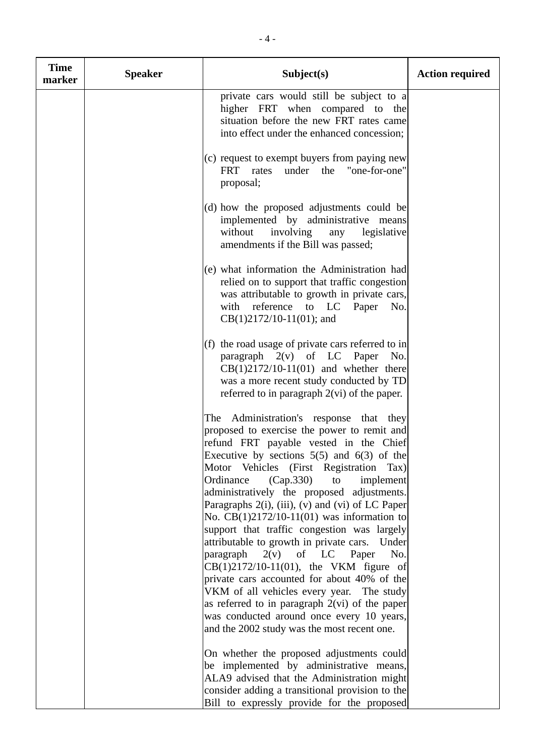| <b>Time</b><br>marker | <b>Speaker</b> | Subject(s)                                                                                                                                                                                                                                                                                                                            | <b>Action required</b> |
|-----------------------|----------------|---------------------------------------------------------------------------------------------------------------------------------------------------------------------------------------------------------------------------------------------------------------------------------------------------------------------------------------|------------------------|
|                       |                | private cars would still be subject to a<br>higher FRT when compared to the<br>situation before the new FRT rates came<br>into effect under the enhanced concession;                                                                                                                                                                  |                        |
|                       |                | (c) request to exempt buyers from paying new<br><b>FRT</b><br>under the "one-for-one"<br>rates<br>proposal;                                                                                                                                                                                                                           |                        |
|                       |                | (d) how the proposed adjustments could be<br>implemented by administrative means<br>without<br>involving<br>any<br>legislative<br>amendments if the Bill was passed;                                                                                                                                                                  |                        |
|                       |                | (e) what information the Administration had<br>relied on to support that traffic congestion<br>was attributable to growth in private cars,<br>with reference to LC Paper<br>No.<br>$CB(1)2172/10-11(01)$ ; and                                                                                                                        |                        |
|                       |                | (f) the road usage of private cars referred to in<br>paragraph $2(v)$ of LC Paper No.<br>$CB(1)2172/10-11(01)$ and whether there<br>was a more recent study conducted by TD<br>referred to in paragraph $2(\text{vi})$ of the paper.                                                                                                  |                        |
|                       |                | The Administration's response that they<br>proposed to exercise the power to remit and<br>refund FRT payable vested in the Chief<br>Executive by sections $5(5)$ and $6(3)$ of the<br>Motor Vehicles (First Registration Tax)<br>Ordinance<br>(Cap.330)<br>to<br>implement                                                            |                        |
|                       |                | administratively the proposed adjustments.<br>Paragraphs 2(i), (iii), (v) and (vi) of LC Paper<br>No. $CB(1)2172/10-11(01)$ was information to<br>support that traffic congestion was largely<br>attributable to growth in private cars.<br>Under<br>$2(v)$ of LC Paper<br>paragraph<br>No.<br>CB(1)2172/10-11(01), the VKM figure of |                        |
|                       |                | private cars accounted for about 40% of the<br>VKM of all vehicles every year. The study<br>as referred to in paragraph $2(vi)$ of the paper<br>was conducted around once every 10 years,<br>and the 2002 study was the most recent one.                                                                                              |                        |
|                       |                | On whether the proposed adjustments could<br>be implemented by administrative means,<br>ALA9 advised that the Administration might<br>consider adding a transitional provision to the<br>Bill to expressly provide for the proposed                                                                                                   |                        |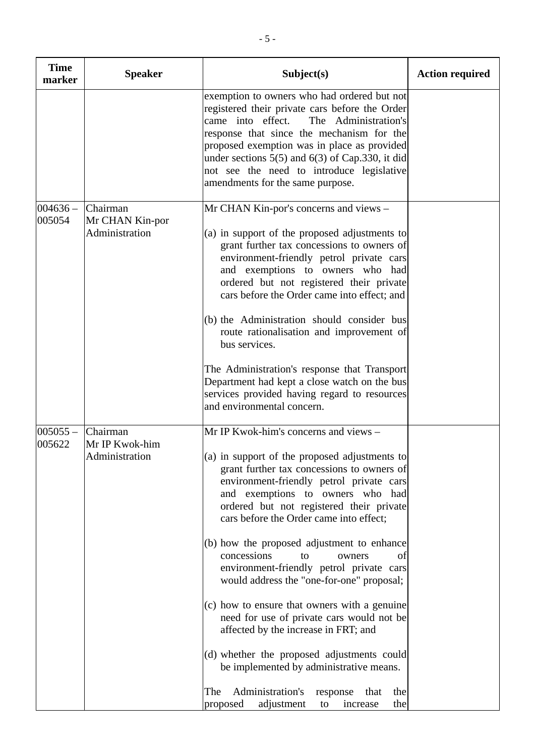| <b>Speaker</b>                                | Subject(s)                                                                                                                                                                                                                                                                                                                                                                                                                                                                                                                                                                                                                                                                                                                         | <b>Action required</b>                          |
|-----------------------------------------------|------------------------------------------------------------------------------------------------------------------------------------------------------------------------------------------------------------------------------------------------------------------------------------------------------------------------------------------------------------------------------------------------------------------------------------------------------------------------------------------------------------------------------------------------------------------------------------------------------------------------------------------------------------------------------------------------------------------------------------|-------------------------------------------------|
|                                               | exemption to owners who had ordered but not<br>registered their private cars before the Order<br>came into effect.<br>The Administration's<br>response that since the mechanism for the<br>proposed exemption was in place as provided<br>under sections $5(5)$ and $6(3)$ of Cap.330, it did<br>not see the need to introduce legislative<br>amendments for the same purpose.                                                                                                                                                                                                                                                                                                                                                     |                                                 |
| Chairman<br>Mr CHAN Kin-por<br>Administration | Mr CHAN Kin-por's concerns and views -<br>(a) in support of the proposed adjustments to<br>grant further tax concessions to owners of<br>environment-friendly petrol private cars<br>and exemptions to owners who had<br>ordered but not registered their private<br>cars before the Order came into effect; and<br>(b) the Administration should consider bus<br>route rationalisation and improvement of<br>bus services.<br>The Administration's response that Transport<br>Department had kept a close watch on the bus                                                                                                                                                                                                        |                                                 |
| Chairman                                      | services provided having regard to resources<br>and environmental concern.<br>Mr IP Kwok-him's concerns and views -                                                                                                                                                                                                                                                                                                                                                                                                                                                                                                                                                                                                                |                                                 |
| Mr IP Kwok-him<br>Administration              | (a) in support of the proposed adjustments to<br>grant further tax concessions to owners of<br>environment-friendly petrol private cars<br>and exemptions to owners who had<br>ordered but not registered their private<br>cars before the Order came into effect;<br>(b) how the proposed adjustment to enhance<br>concessions<br>to<br>owners<br>ot<br>environment-friendly petrol private cars<br>would address the "one-for-one" proposal;<br>(c) how to ensure that owners with a genuine<br>need for use of private cars would not be<br>affected by the increase in FRT; and<br>(d) whether the proposed adjustments could<br>be implemented by administrative means.<br>Administration's<br>The<br>the<br>response<br>that |                                                 |
|                                               |                                                                                                                                                                                                                                                                                                                                                                                                                                                                                                                                                                                                                                                                                                                                    | adjustment<br>increase<br>proposed<br>the<br>to |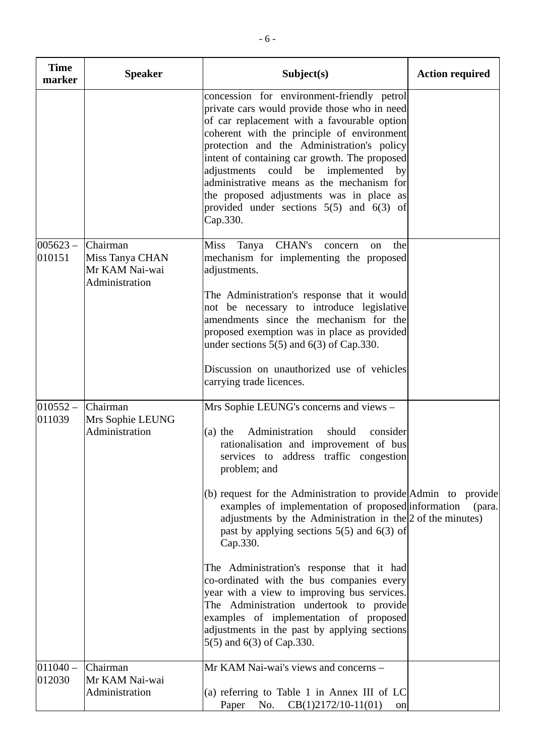| <b>Time</b><br>marker | <b>Speaker</b>                                                  | Subject(s)                                                                                                                                                                                                                                                                                                                                                                                                                                                                                                                                                                                                                                                                                                                                                           | <b>Action required</b> |
|-----------------------|-----------------------------------------------------------------|----------------------------------------------------------------------------------------------------------------------------------------------------------------------------------------------------------------------------------------------------------------------------------------------------------------------------------------------------------------------------------------------------------------------------------------------------------------------------------------------------------------------------------------------------------------------------------------------------------------------------------------------------------------------------------------------------------------------------------------------------------------------|------------------------|
|                       |                                                                 | concession for environment-friendly petrol<br>private cars would provide those who in need<br>of car replacement with a favourable option<br>coherent with the principle of environment<br>protection and the Administration's policy<br>intent of containing car growth. The proposed<br>adjustments could be implemented<br>by<br>administrative means as the mechanism for<br>the proposed adjustments was in place as<br>provided under sections $5(5)$ and $6(3)$ of<br>Cap.330.                                                                                                                                                                                                                                                                                |                        |
| $005623 -$<br>010151  | Chairman<br>Miss Tanya CHAN<br>Mr KAM Nai-wai<br>Administration | <b>CHAN's</b><br><b>Miss</b><br>Tanya<br>the<br>concern<br>on<br>mechanism for implementing the proposed<br>adjustments.<br>The Administration's response that it would<br>not be necessary to introduce legislative<br>amendments since the mechanism for the<br>proposed exemption was in place as provided<br>under sections $5(5)$ and $6(3)$ of Cap.330.<br>Discussion on unauthorized use of vehicles<br>carrying trade licences.                                                                                                                                                                                                                                                                                                                              |                        |
| $010552 -$<br>011039  | Chairman<br>Mrs Sophie LEUNG<br>Administration                  | Mrs Sophie LEUNG's concerns and views –<br>Administration<br>should<br>$(a)$ the<br>consider<br>rationalisation and improvement of bus<br>services to address traffic congestion<br>problem; and<br>$(6)$ request for the Administration to provide Admin to provide<br>examples of implementation of proposed information<br>adjustments by the Administration in the $ 2$ of the minutes)<br>past by applying sections $5(5)$ and $6(3)$ of<br>Cap.330.<br>The Administration's response that it had<br>co-ordinated with the bus companies every<br>year with a view to improving bus services.<br>The Administration undertook to provide<br>examples of implementation of proposed<br>adjustments in the past by applying sections<br>5(5) and 6(3) of Cap.330. | (para.)                |
| $011040 -$<br>012030  | Chairman<br>Mr KAM Nai-wai<br>Administration                    | Mr KAM Nai-wai's views and concerns -<br>(a) referring to Table 1 in Annex III of LC<br>$CB(1)2172/10-11(01)$<br>Paper No.<br>on                                                                                                                                                                                                                                                                                                                                                                                                                                                                                                                                                                                                                                     |                        |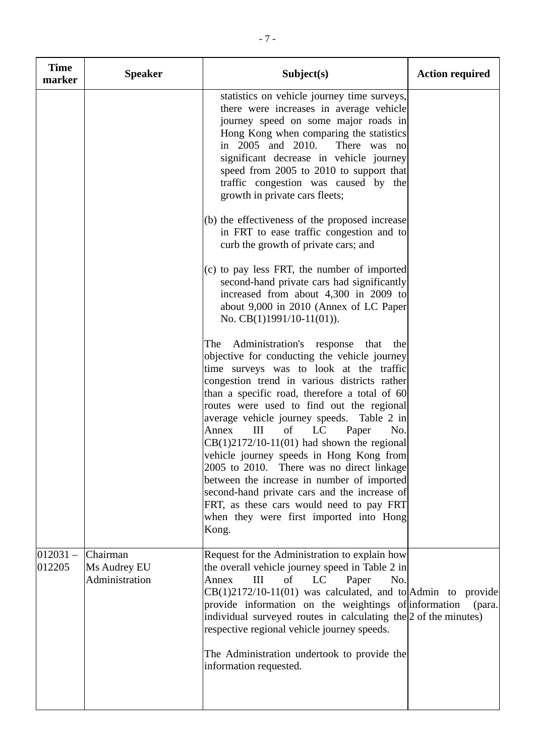| <b>Time</b><br>marker | <b>Speaker</b>                             | Subject(s)                                                                                                                                                                                                                                                                                                                                                                                                                                                                                                                                                                                                                                                                                                       | <b>Action required</b> |
|-----------------------|--------------------------------------------|------------------------------------------------------------------------------------------------------------------------------------------------------------------------------------------------------------------------------------------------------------------------------------------------------------------------------------------------------------------------------------------------------------------------------------------------------------------------------------------------------------------------------------------------------------------------------------------------------------------------------------------------------------------------------------------------------------------|------------------------|
|                       |                                            | statistics on vehicle journey time surveys,<br>there were increases in average vehicle<br>journey speed on some major roads in<br>Hong Kong when comparing the statistics<br>in 2005 and 2010. There was no<br>significant decrease in vehicle journey<br>speed from 2005 to 2010 to support that<br>traffic congestion was caused by the<br>growth in private cars fleets;                                                                                                                                                                                                                                                                                                                                      |                        |
|                       |                                            | (b) the effectiveness of the proposed increase<br>in FRT to ease traffic congestion and to<br>curb the growth of private cars; and                                                                                                                                                                                                                                                                                                                                                                                                                                                                                                                                                                               |                        |
|                       |                                            | (c) to pay less FRT, the number of imported<br>second-hand private cars had significantly<br>increased from about 4,300 in 2009 to<br>about 9,000 in 2010 (Annex of LC Paper<br>No. CB(1)1991/10-11(01)).                                                                                                                                                                                                                                                                                                                                                                                                                                                                                                        |                        |
|                       |                                            | Administration's response that the<br>The<br>objective for conducting the vehicle journey<br>time surveys was to look at the traffic<br>congestion trend in various districts rather<br>than a specific road, therefore a total of 60<br>routes were used to find out the regional<br>average vehicle journey speeds. Table 2 in<br>III<br>of LC<br>Annex<br>Paper<br>No.<br>$CB(1)2172/10-11(01)$ had shown the regional<br>vehicle journey speeds in Hong Kong from<br>2005 to 2010. There was no direct linkage<br>between the increase in number of imported<br>second-hand private cars and the increase of<br>FRT, as these cars would need to pay FRT<br>when they were first imported into Hong<br>Kong. |                        |
| $012031 -$<br>012205  | Chairman<br>Ms Audrey EU<br>Administration | Request for the Administration to explain how<br>the overall vehicle journey speed in Table 2 in<br>Annex<br>of<br>LC<br>III<br>Paper<br>No.<br>$CB(1)2172/10-11(01)$ was calculated, and to Admin to provide<br>provide information on the weightings of information<br>individual surveyed routes in calculating the $ 2$ of the minutes)<br>respective regional vehicle journey speeds.                                                                                                                                                                                                                                                                                                                       | (para.)                |